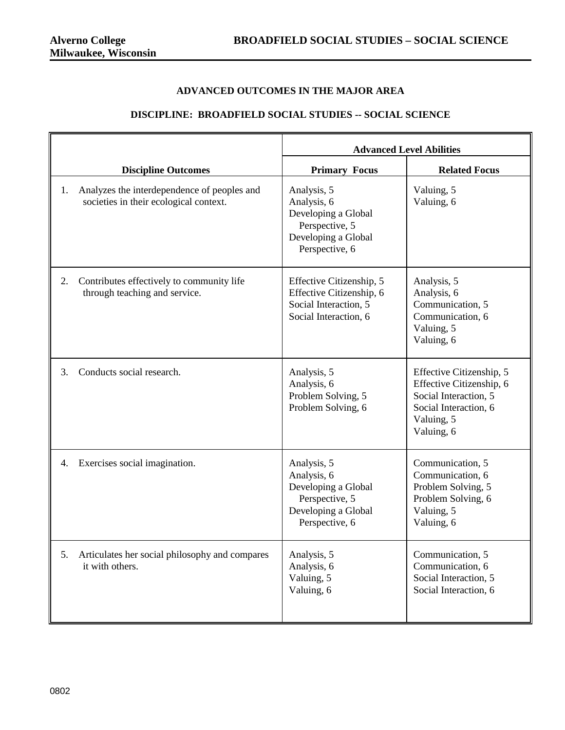## **ADVANCED OUTCOMES IN THE MAJOR AREA**

## **DISCIPLINE: BROADFIELD SOCIAL STUDIES -- SOCIAL SCIENCE**

|    |                                                                                       | <b>Advanced Level Abilities</b>                                                                              |                                                                                                                                    |
|----|---------------------------------------------------------------------------------------|--------------------------------------------------------------------------------------------------------------|------------------------------------------------------------------------------------------------------------------------------------|
|    | <b>Discipline Outcomes</b>                                                            | <b>Primary Focus</b>                                                                                         | <b>Related Focus</b>                                                                                                               |
| 1. | Analyzes the interdependence of peoples and<br>societies in their ecological context. | Analysis, 5<br>Analysis, 6<br>Developing a Global<br>Perspective, 5<br>Developing a Global<br>Perspective, 6 | Valuing, 5<br>Valuing, 6                                                                                                           |
| 2. | Contributes effectively to community life<br>through teaching and service.            | Effective Citizenship, 5<br>Effective Citizenship, 6<br>Social Interaction, 5<br>Social Interaction, 6       | Analysis, 5<br>Analysis, 6<br>Communication, 5<br>Communication, 6<br>Valuing, 5<br>Valuing, 6                                     |
| 3. | Conducts social research.                                                             | Analysis, 5<br>Analysis, 6<br>Problem Solving, 5<br>Problem Solving, 6                                       | Effective Citizenship, 5<br>Effective Citizenship, 6<br>Social Interaction, 5<br>Social Interaction, 6<br>Valuing, 5<br>Valuing, 6 |
| 4. | Exercises social imagination.                                                         | Analysis, 5<br>Analysis, 6<br>Developing a Global<br>Perspective, 5<br>Developing a Global<br>Perspective, 6 | Communication, 5<br>Communication, 6<br>Problem Solving, 5<br>Problem Solving, 6<br>Valuing, 5<br>Valuing, 6                       |
| 5. | Articulates her social philosophy and compares<br>it with others.                     | Analysis, 5<br>Analysis, 6<br>Valuing, 5<br>Valuing, 6                                                       | Communication, 5<br>Communication, 6<br>Social Interaction, 5<br>Social Interaction, 6                                             |